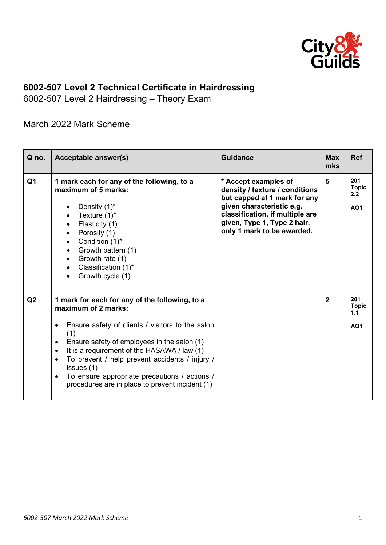

## **6002-507 Level 2 Technical Certificate in Hairdressing**

6002-507 Level 2 Hairdressing – Theory Exam

March 2022 Mark Scheme

| Q no.          | Acceptable answer(s)                                                                                                                                                                                                                                                                                                                                                                                                                                | <b>Guidance</b>                                                                                                                                                                                                     | <b>Max</b><br>mks | <b>Ref</b>                               |
|----------------|-----------------------------------------------------------------------------------------------------------------------------------------------------------------------------------------------------------------------------------------------------------------------------------------------------------------------------------------------------------------------------------------------------------------------------------------------------|---------------------------------------------------------------------------------------------------------------------------------------------------------------------------------------------------------------------|-------------------|------------------------------------------|
| Q <sub>1</sub> | 1 mark each for any of the following, to a<br>maximum of 5 marks:<br>Density $(1)^*$<br>Texture $(1)^*$<br>Elasticity (1)<br>Porosity (1)<br>$\bullet$<br>Condition (1)*<br>Growth pattern (1)<br>$\bullet$<br>Growth rate (1)<br>$\bullet$<br>Classification (1)*<br>Growth cycle (1)<br>$\bullet$                                                                                                                                                 | * Accept examples of<br>density / texture / conditions<br>but capped at 1 mark for any<br>given characteristic e.g.<br>classification, if multiple are<br>given, Type 1, Type 2 hair,<br>only 1 mark to be awarded. | 5                 | 201<br><b>Topic</b><br>2.2<br><b>AO1</b> |
| Q2             | 1 mark for each for any of the following, to a<br>maximum of 2 marks:<br>Ensure safety of clients / visitors to the salon<br>٠<br>(1)<br>Ensure safety of employees in the salon (1)<br>٠<br>It is a requirement of the HASAWA / law (1)<br>$\bullet$<br>To prevent / help prevent accidents / injury /<br>$\bullet$<br>issues (1)<br>To ensure appropriate precautions / actions /<br>$\bullet$<br>procedures are in place to prevent incident (1) |                                                                                                                                                                                                                     | $\mathbf{2}$      | 201<br><b>Topic</b><br>1.1<br><b>AO1</b> |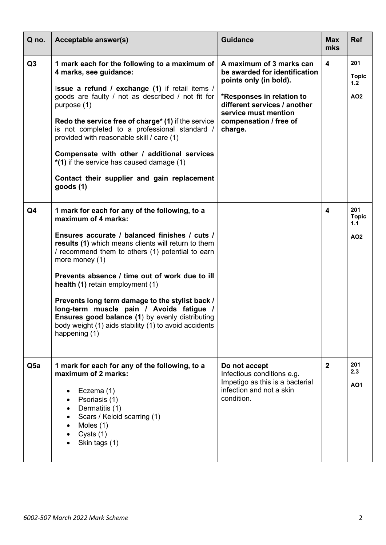| Q no.           | <b>Acceptable answer(s)</b>                                                                                                                                                                                                                                                                                                                                                                                                                                                                                                                                           | <b>Guidance</b>                                                                                                                                                                                               | <b>Max</b><br>mks       | <b>Ref</b>                                    |
|-----------------|-----------------------------------------------------------------------------------------------------------------------------------------------------------------------------------------------------------------------------------------------------------------------------------------------------------------------------------------------------------------------------------------------------------------------------------------------------------------------------------------------------------------------------------------------------------------------|---------------------------------------------------------------------------------------------------------------------------------------------------------------------------------------------------------------|-------------------------|-----------------------------------------------|
| Q <sub>3</sub>  | 1 mark each for the following to a maximum of<br>4 marks, see guidance:<br>Issue a refund / exchange (1) if retail items /<br>goods are faulty / not as described / not fit for<br>purpose (1)<br><b>Redo the service free of charge* (1) if the service</b><br>is not completed to a professional standard /<br>provided with reasonable skill / care (1)<br>Compensate with other / additional services<br>*(1) if the service has caused damage (1)<br>Contact their supplier and gain replacement<br>goods(1)                                                     | A maximum of 3 marks can<br>be awarded for identification<br>points only (in bold).<br>*Responses in relation to<br>different services / another<br>service must mention<br>compensation / free of<br>charge. | $\overline{\mathbf{4}}$ | 201<br><b>Topic</b><br>1.2<br><b>AO2</b>      |
| Q <sub>4</sub>  | 1 mark for each for any of the following, to a<br>maximum of 4 marks:<br>Ensures accurate / balanced finishes / cuts /<br>results (1) which means clients will return to them<br>/ recommend them to others (1) potential to earn<br>more money (1)<br>Prevents absence / time out of work due to ill<br>health (1) retain employment (1)<br>Prevents long term damage to the stylist back /<br>long-term muscle pain / Avoids fatigue /<br>Ensures good balance (1) by evenly distributing<br>body weight (1) aids stability (1) to avoid accidents<br>happening (1) |                                                                                                                                                                                                               | 4                       | 201<br><b>Topic</b><br>1.1<br>AO <sub>2</sub> |
| Q <sub>5a</sub> | 1 mark for each for any of the following, to a<br>maximum of 2 marks:<br>Eczema (1)<br>Psoriasis (1)<br>Dermatitis (1)<br>Scars / Keloid scarring (1)<br>Moles (1)<br>Cysts (1)<br>Skin tags (1)                                                                                                                                                                                                                                                                                                                                                                      | Do not accept<br>Infectious conditions e.g.<br>Impetigo as this is a bacterial<br>infection and not a skin<br>condition.                                                                                      | $\overline{2}$          | 201<br>2.3<br><b>AO1</b>                      |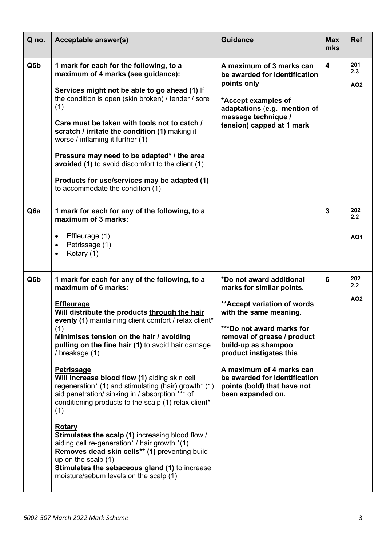| Q no.            | Acceptable answer(s)                                                                                                                                                                                                                                                                                                                                                                                                                                                                                                                                                                                                                                                                                                                                                                                                                                                                     | <b>Guidance</b>                                                                                                                                                                                                                                                                                                                                | <b>Max</b><br>mks       | <b>Ref</b>               |
|------------------|------------------------------------------------------------------------------------------------------------------------------------------------------------------------------------------------------------------------------------------------------------------------------------------------------------------------------------------------------------------------------------------------------------------------------------------------------------------------------------------------------------------------------------------------------------------------------------------------------------------------------------------------------------------------------------------------------------------------------------------------------------------------------------------------------------------------------------------------------------------------------------------|------------------------------------------------------------------------------------------------------------------------------------------------------------------------------------------------------------------------------------------------------------------------------------------------------------------------------------------------|-------------------------|--------------------------|
| Q5b              | 1 mark for each for the following, to a<br>maximum of 4 marks (see guidance):<br>Services might not be able to go ahead (1) If<br>the condition is open (skin broken) / tender / sore<br>(1)<br>Care must be taken with tools not to catch /<br>scratch / irritate the condition (1) making it<br>worse / inflaming it further (1)<br>Pressure may need to be adapted* / the area<br>avoided (1) to avoid discomfort to the client (1)<br>Products for use/services may be adapted (1)<br>to accommodate the condition (1)                                                                                                                                                                                                                                                                                                                                                               | A maximum of 3 marks can<br>be awarded for identification<br>points only<br>*Accept examples of<br>adaptations (e.g. mention of<br>massage technique /<br>tension) capped at 1 mark                                                                                                                                                            | $\overline{\mathbf{4}}$ | 201<br>2.3<br>AO2        |
| Q <sub>6</sub> a | 1 mark for each for any of the following, to a<br>maximum of 3 marks:<br>Effleurage (1)<br>$\bullet$<br>Petrissage (1)<br>٠<br>Rotary (1)<br>$\bullet$                                                                                                                                                                                                                                                                                                                                                                                                                                                                                                                                                                                                                                                                                                                                   |                                                                                                                                                                                                                                                                                                                                                | $\overline{3}$          | 202<br>2.2<br><b>AO1</b> |
| Q6b              | 1 mark for each for any of the following, to a<br>maximum of 6 marks:<br><b>Effleurage</b><br>Will distribute the products through the hair<br>evenly (1) maintaining client comfort / relax client*<br>(1)<br>Minimises tension on the hair / avoiding<br>pulling on the fine hair (1) to avoid hair damage<br>/ breakage (1)<br><b>Petrissage</b><br>Will increase blood flow (1) aiding skin cell<br>regeneration* (1) and stimulating (hair) growth* (1)<br>aid penetration/ sinking in / absorption *** of<br>conditioning products to the scalp (1) relax client*<br>(1)<br><b>Rotary</b><br>Stimulates the scalp (1) increasing blood flow /<br>aiding cell re-generation <sup>*</sup> / hair growth *(1)<br>Removes dead skin cells** (1) preventing build-<br>up on the scalp $(1)$<br>Stimulates the sebaceous gland (1) to increase<br>moisture/sebum levels on the scalp (1) | *Do not award additional<br>marks for similar points.<br>** Accept variation of words<br>with the same meaning.<br>***Do not award marks for<br>removal of grease / product<br>build-up as shampoo<br>product instigates this<br>A maximum of 4 marks can<br>be awarded for identification<br>points (bold) that have not<br>been expanded on. | 6                       | 202<br>2.2<br>AO2        |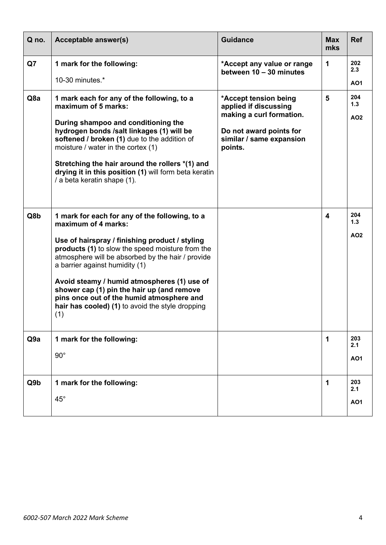| Q no.           | <b>Acceptable answer(s)</b>                                                                                                                                                                                                                                                                                                                                                                                                                                             | <b>Guidance</b>                                                                                                                              | <b>Max</b><br>mks | <b>Ref</b>               |
|-----------------|-------------------------------------------------------------------------------------------------------------------------------------------------------------------------------------------------------------------------------------------------------------------------------------------------------------------------------------------------------------------------------------------------------------------------------------------------------------------------|----------------------------------------------------------------------------------------------------------------------------------------------|-------------------|--------------------------|
| Q7              | 1 mark for the following:<br>10-30 minutes.*                                                                                                                                                                                                                                                                                                                                                                                                                            | *Accept any value or range<br>between 10 - 30 minutes                                                                                        | 1                 | 202<br>2.3<br><b>AO1</b> |
| Q8a             | 1 mark each for any of the following, to a<br>maximum of 5 marks:<br>During shampoo and conditioning the<br>hydrogen bonds /salt linkages (1) will be<br>softened / broken (1) due to the addition of<br>moisture / water in the cortex (1)<br>Stretching the hair around the rollers *(1) and<br>drying it in this position (1) will form beta keratin<br>/ a beta keratin shape (1).                                                                                  | *Accept tension being<br>applied if discussing<br>making a curl formation.<br>Do not award points for<br>similar / same expansion<br>points. | $5\phantom{1}$    | 204<br>1.3<br><b>AO2</b> |
| Q8b             | 1 mark for each for any of the following, to a<br>maximum of 4 marks:<br>Use of hairspray / finishing product / styling<br>products (1) to slow the speed moisture from the<br>atmosphere will be absorbed by the hair / provide<br>a barrier against humidity (1)<br>Avoid steamy / humid atmospheres (1) use of<br>shower cap (1) pin the hair up (and remove<br>pins once out of the humid atmosphere and<br>hair has cooled) (1) to avoid the style dropping<br>(1) |                                                                                                                                              | 4                 | 204<br>1.3<br><b>AO2</b> |
| Q <sub>9a</sub> | 1 mark for the following:<br>$90^{\circ}$                                                                                                                                                                                                                                                                                                                                                                                                                               |                                                                                                                                              | 1                 | 203<br>2.1<br><b>AO1</b> |
| Q9b             | 1 mark for the following:<br>$45^{\circ}$                                                                                                                                                                                                                                                                                                                                                                                                                               |                                                                                                                                              | 1                 | 203<br>2.1<br><b>AO1</b> |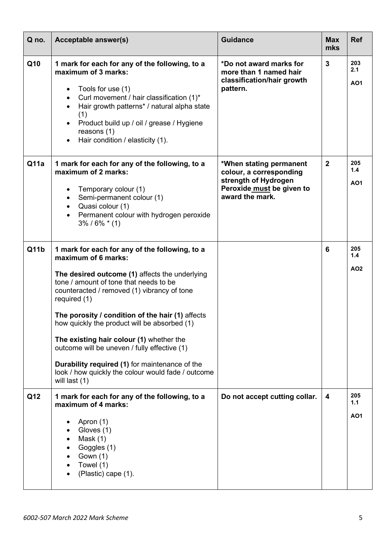| Q no. | Acceptable answer(s)                                                                                                                                                                                                                                                                                                                                                                                                                                                                                                                                        | <b>Guidance</b>                                                                                                            | <b>Max</b><br>mks | <b>Ref</b>                    |
|-------|-------------------------------------------------------------------------------------------------------------------------------------------------------------------------------------------------------------------------------------------------------------------------------------------------------------------------------------------------------------------------------------------------------------------------------------------------------------------------------------------------------------------------------------------------------------|----------------------------------------------------------------------------------------------------------------------------|-------------------|-------------------------------|
| Q10   | 1 mark for each for any of the following, to a<br>maximum of 3 marks:<br>Tools for use (1)<br>Curl movement / hair classification (1)*<br>Hair growth patterns* / natural alpha state<br>(1)<br>Product build up / oil / grease / Hygiene<br>reasons $(1)$<br>Hair condition / elasticity (1).                                                                                                                                                                                                                                                              | *Do not award marks for<br>more than 1 named hair<br>classification/hair growth<br>pattern.                                | $\overline{3}$    | 203<br>2.1<br><b>AO1</b>      |
| Q11a  | 1 mark for each for any of the following, to a<br>maximum of 2 marks:<br>Temporary colour (1)<br>Semi-permanent colour (1)<br>Quasi colour (1)<br>Permanent colour with hydrogen peroxide<br>$3\% / 6\% * (1)$                                                                                                                                                                                                                                                                                                                                              | *When stating permanent<br>colour, a corresponding<br>strength of Hydrogen<br>Peroxide must be given to<br>award the mark. | $\overline{2}$    | 205<br>1.4<br><b>AO1</b>      |
| Q11b  | 1 mark for each for any of the following, to a<br>maximum of 6 marks:<br>The desired outcome (1) affects the underlying<br>tone / amount of tone that needs to be<br>counteracted / removed (1) vibrancy of tone<br>required (1)<br>The porosity / condition of the hair (1) affects<br>how quickly the product will be absorbed (1)<br>The existing hair colour (1) whether the<br>outcome will be uneven / fully effective (1)<br>Durability required (1) for maintenance of the<br>look / how quickly the colour would fade / outcome<br>will last $(1)$ |                                                                                                                            | 6                 | 205<br>1.4<br>AO <sub>2</sub> |
| Q12   | 1 mark for each for any of the following, to a<br>maximum of 4 marks:<br>Apron (1)<br>Gloves (1)<br>Mask $(1)$<br>Goggles (1)<br>Gown (1)<br>Towel (1)<br>(Plastic) cape (1).                                                                                                                                                                                                                                                                                                                                                                               | Do not accept cutting collar.                                                                                              | 4                 | 205<br>1.1<br><b>AO1</b>      |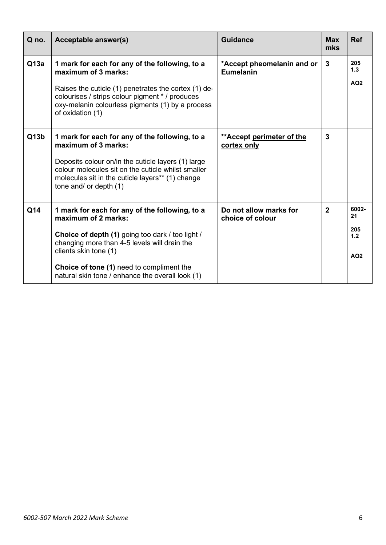| Q no. | Acceptable answer(s)                                                                                                                                                                                                                                                                                | <b>Guidance</b>                            | <b>Max</b><br>mks | <b>Ref</b>                                   |
|-------|-----------------------------------------------------------------------------------------------------------------------------------------------------------------------------------------------------------------------------------------------------------------------------------------------------|--------------------------------------------|-------------------|----------------------------------------------|
| Q13a  | 1 mark for each for any of the following, to a<br>maximum of 3 marks:<br>Raises the cuticle (1) penetrates the cortex (1) de-<br>colourises / strips colour pigment * / produces<br>oxy-melanin colourless pigments (1) by a process<br>of oxidation (1)                                            | *Accept pheomelanin and or<br>Eumelanin    | 3                 | 205<br>1.3<br>AO <sub>2</sub>                |
| Q13b  | 1 mark for each for any of the following, to a<br>maximum of 3 marks:<br>Deposits colour on/in the cuticle layers (1) large<br>colour molecules sit on the cuticle whilst smaller<br>molecules sit in the cuticle layers** (1) change<br>tone and/ or depth (1)                                     | ** Accept perimeter of the<br>cortex only  | $\mathbf{3}$      |                                              |
| Q14   | 1 mark for each for any of the following, to a<br>maximum of 2 marks:<br>Choice of depth (1) going too dark / too light /<br>changing more than 4-5 levels will drain the<br>clients skin tone (1)<br>Choice of tone (1) need to compliment the<br>natural skin tone / enhance the overall look (1) | Do not allow marks for<br>choice of colour | $\overline{2}$    | 6002-<br>21<br>205<br>1.2<br>AO <sub>2</sub> |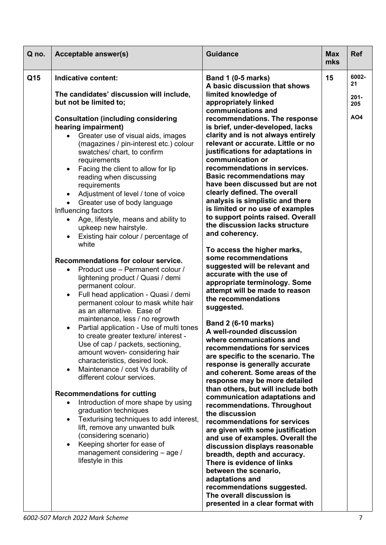| Q no. | <b>Acceptable answer(s)</b>                                                                                                                                                                                                                                                                                                                                                                                                                                                                                                                                                                                                                                                                                                                                                                                                                                                                                                                                                                                                                                                                                                                                                                                                                                                                                                                                                                                                                                                                                                                                                                 | <b>Guidance</b>                                                                                                                                                                                                                                                                                                                                                                                                                                                                                                                                                                                                                                                                                                                                                                                                                                                                                                                                                                                                                                                                                                                                                                                                                                                                                                                                                                                                                                                                                                                                                                                                               | <b>Max</b><br>mks | <b>Ref</b>                                  |
|-------|---------------------------------------------------------------------------------------------------------------------------------------------------------------------------------------------------------------------------------------------------------------------------------------------------------------------------------------------------------------------------------------------------------------------------------------------------------------------------------------------------------------------------------------------------------------------------------------------------------------------------------------------------------------------------------------------------------------------------------------------------------------------------------------------------------------------------------------------------------------------------------------------------------------------------------------------------------------------------------------------------------------------------------------------------------------------------------------------------------------------------------------------------------------------------------------------------------------------------------------------------------------------------------------------------------------------------------------------------------------------------------------------------------------------------------------------------------------------------------------------------------------------------------------------------------------------------------------------|-------------------------------------------------------------------------------------------------------------------------------------------------------------------------------------------------------------------------------------------------------------------------------------------------------------------------------------------------------------------------------------------------------------------------------------------------------------------------------------------------------------------------------------------------------------------------------------------------------------------------------------------------------------------------------------------------------------------------------------------------------------------------------------------------------------------------------------------------------------------------------------------------------------------------------------------------------------------------------------------------------------------------------------------------------------------------------------------------------------------------------------------------------------------------------------------------------------------------------------------------------------------------------------------------------------------------------------------------------------------------------------------------------------------------------------------------------------------------------------------------------------------------------------------------------------------------------------------------------------------------------|-------------------|---------------------------------------------|
| Q15   | Indicative content:<br>The candidates' discussion will include,<br>but not be limited to;<br><b>Consultation (including considering</b><br>hearing impairment)<br>Greater use of visual aids, images<br>(magazines / pin-interest etc.) colour<br>swatches/ chart, to confirm<br>requirements<br>Facing the client to allow for lip<br>$\bullet$<br>reading when discussing<br>requirements<br>Adjustment of level / tone of voice<br>$\bullet$<br>Greater use of body language<br>$\bullet$<br>Influencing factors<br>Age, lifestyle, means and ability to<br>upkeep new hairstyle.<br>Existing hair colour / percentage of<br>white<br>Recommendations for colour service.<br>Product use - Permanent colour /<br>$\bullet$<br>lightening product / Quasi / demi<br>permanent colour.<br>Full head application - Quasi / demi<br>$\bullet$<br>permanent colour to mask white hair<br>as an alternative. Ease of<br>maintenance, less / no regrowth<br>Partial application - Use of multi tones<br>$\bullet$<br>to create greater texture/ interest -<br>Use of cap / packets, sectioning,<br>amount woven- considering hair<br>characteristics, desired look.<br>Maintenance / cost Vs durability of<br>$\bullet$<br>different colour services.<br><b>Recommendations for cutting</b><br>Introduction of more shape by using<br>$\bullet$<br>graduation techniques<br>Texturising techniques to add interest,<br>$\bullet$<br>lift, remove any unwanted bulk<br>(considering scenario)<br>Keeping shorter for ease of<br>$\bullet$<br>management considering - age /<br>lifestyle in this | <b>Band 1 (0-5 marks)</b><br>A basic discussion that shows<br>limited knowledge of<br>appropriately linked<br>communications and<br>recommendations. The response<br>is brief, under-developed, lacks<br>clarity and is not always entirely<br>relevant or accurate. Little or no<br>justifications for adaptations in<br>communication or<br>recommendations in services.<br><b>Basic recommendations may</b><br>have been discussed but are not<br>clearly defined. The overall<br>analysis is simplistic and there<br>is limited or no use of examples<br>to support points raised. Overall<br>the discussion lacks structure<br>and coherency.<br>To access the higher marks,<br>some recommendations<br>suggested will be relevant and<br>accurate with the use of<br>appropriate terminology. Some<br>attempt will be made to reason<br>the recommendations<br>suggested.<br><b>Band 2 (6-10 marks)</b><br>A well-rounded discussion<br>where communications and<br>recommendations for services<br>are specific to the scenario. The<br>response is generally accurate<br>and coherent. Some areas of the<br>response may be more detailed<br>than others, but will include both<br>communication adaptations and<br>recommendations. Throughout<br>the discussion<br>recommendations for services<br>are given with some justification<br>and use of examples. Overall the<br>discussion displays reasonable<br>breadth, depth and accuracy.<br>There is evidence of links<br>between the scenario,<br>adaptations and<br>recommendations suggested.<br>The overall discussion is<br>presented in a clear format with | 15                | 6002-<br>21<br>$201 -$<br>205<br><b>AO4</b> |